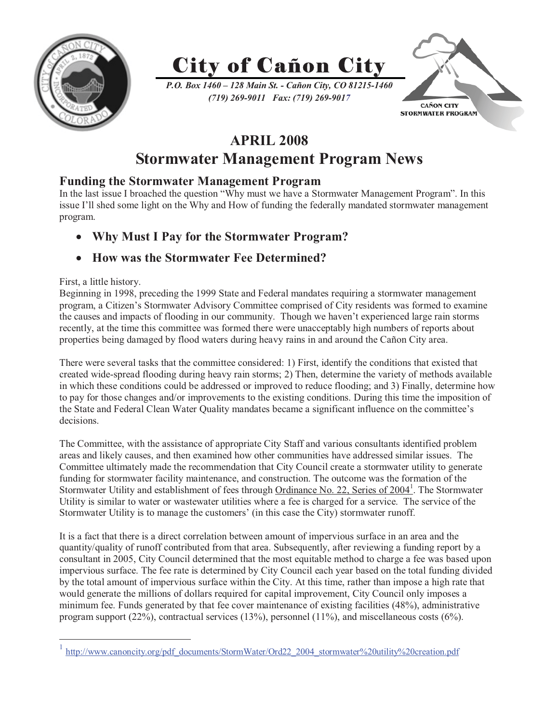



*P.O. Box 1460 – 128 Main St. - Cañon City, CO 81215-1460 (719) 269-9011 Fax: (719) 269-9017*



# **APRIL 2008**

## **Stormwater Management Program News**

### **Funding the Stormwater Management Program**

In the last issue I broached the question "Why must we have a Stormwater Management Program". In this issue I'll shed some light on the Why and How of funding the federally mandated stormwater management program.

- **Why Must I Pay for the Stormwater Program?** 

## - **How was the Stormwater Fee Determined?**

### First, a little history.

 $\overline{a}$ 

Beginning in 1998, preceding the 1999 State and Federal mandates requiring a stormwater management program, a Citizen's Stormwater Advisory Committee comprised of City residents was formed to examine the causes and impacts of flooding in our community. Though we haven't experienced large rain storms recently, at the time this committee was formed there were unacceptably high numbers of reports about properties being damaged by flood waters during heavy rains in and around the Cañon City area.

There were several tasks that the committee considered: 1) First, identify the conditions that existed that created wide-spread flooding during heavy rain storms; 2) Then, determine the variety of methods available in which these conditions could be addressed or improved to reduce flooding; and 3) Finally, determine how to pay for those changes and/or improvements to the existing conditions. During this time the imposition of the State and Federal Clean Water Quality mandates became a significant influence on the committee's decisions.

The Committee, with the assistance of appropriate City Staff and various consultants identified problem areas and likely causes, and then examined how other communities have addressed similar issues. The Committee ultimately made the recommendation that City Council create a stormwater utility to generate funding for stormwater facility maintenance, and construction. The outcome was the formation of the Stormwater Utility and establishment of fees through Ordinance No. 22, Series of 2004<sup>1</sup>. The Stormwater Utility is similar to water or wastewater utilities where a fee is charged for a service. The service of the Stormwater Utility is to manage the customers' (in this case the City) stormwater runoff.

It is a fact that there is a direct correlation between amount of impervious surface in an area and the quantity/quality of runoff contributed from that area. Subsequently, after reviewing a funding report by a consultant in 2005, City Council determined that the most equitable method to charge a fee was based upon impervious surface. The fee rate is determined by City Council each year based on the total funding divided by the total amount of impervious surface within the City. At this time, rather than impose a high rate that would generate the millions of dollars required for capital improvement, City Council only imposes a minimum fee. Funds generated by that fee cover maintenance of existing facilities (48%), administrative program support  $(22\%)$ , contractual services  $(13\%)$ , personnel  $(11\%)$ , and miscellaneous costs  $(6\%)$ .

<sup>&</sup>lt;sup>1</sup> http://www.canoncity.org/pdf\_documents/StormWater/Ord22\_2004\_stormwater%20utility%20creation.pdf